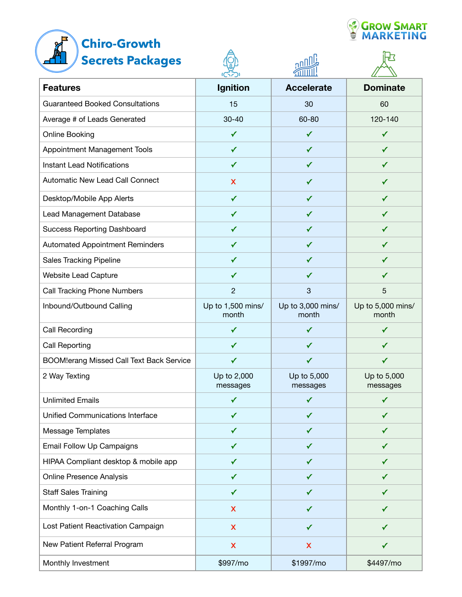# A **Chiro-Growth**



|  | <b>CROW SMART</b> |
|--|-------------------|
|  |                   |

| <b>Secrets Packages</b>                         |                            |                            |                            |
|-------------------------------------------------|----------------------------|----------------------------|----------------------------|
| <b>Features</b>                                 | Ignition                   | <b>Accelerate</b>          | <b>Dominate</b>            |
| <b>Guaranteed Booked Consultations</b>          | 15                         | 30                         | 60                         |
| Average # of Leads Generated                    | $30 - 40$                  | 60-80                      | 120-140                    |
| Online Booking                                  | $\checkmark$               | $\checkmark$               | ✓                          |
| Appointment Management Tools                    | ✓                          | ✓                          | ✓                          |
| <b>Instant Lead Notifications</b>               | ✓                          |                            | ✓                          |
| Automatic New Lead Call Connect                 | X                          | ✓                          | ✓                          |
| Desktop/Mobile App Alerts                       | ✓                          | ✔                          | ✓                          |
| Lead Management Database                        | ✓                          | ✓                          | ✓                          |
| <b>Success Reporting Dashboard</b>              | ✓                          | ✓                          | ✓                          |
| <b>Automated Appointment Reminders</b>          | ✓                          | ✓                          | ✓                          |
| <b>Sales Tracking Pipeline</b>                  | ✓                          | ✓                          | ✓                          |
| Website Lead Capture                            | ✓                          | ✓                          | ✓                          |
| <b>Call Tracking Phone Numbers</b>              | $\overline{c}$             | $\mathbf{3}$               | 5                          |
| Inbound/Outbound Calling                        | Up to 1,500 mins/<br>month | Up to 3,000 mins/<br>month | Up to 5,000 mins/<br>month |
| Call Recording                                  | ✓                          | ✓                          | ✓                          |
| <b>Call Reporting</b>                           | ✓                          | ✓                          | ✓                          |
| <b>BOOM!erang Missed Call Text Back Service</b> | ✓                          | ✓                          | ✓                          |
| 2 Way Texting                                   | Up to 2,000<br>messages    | Up to 5,000<br>messages    | Up to 5,000<br>messages    |
| <b>Unlimited Emails</b>                         | $\checkmark$               | ✓                          | ✓                          |
| Unified Communications Interface                | ✓                          | ✓                          | ✓                          |
| Message Templates                               | ✓                          | ✓                          | ✓                          |
| Email Follow Up Campaigns                       | ✓                          | ✓                          | ✓                          |
| HIPAA Compliant desktop & mobile app            | ✔                          | ✓                          | ✔                          |
| <b>Online Presence Analysis</b>                 | ✓                          |                            | ✓                          |
| <b>Staff Sales Training</b>                     | ✓                          |                            | ✔                          |
| Monthly 1-on-1 Coaching Calls                   | X                          | ✓                          | ✓                          |
| Lost Patient Reactivation Campaign              | X                          | $\checkmark$               | ✓                          |
| New Patient Referral Program                    | $\boldsymbol{\mathsf{X}}$  | X                          | $\checkmark$               |
| Monthly Investment                              | \$997/mo                   | \$1997/mo                  | \$4497/mo                  |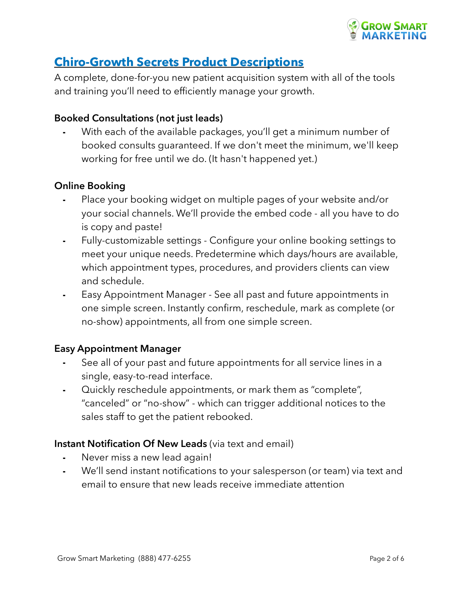

## **Chiro-Growth Secrets Product Descriptions**

A complete, done-for-you new patient acquisition system with all of the tools and training you'll need to efficiently manage your growth.

## **Booked Consultations (not just leads)**

With each of the available packages, you'll get a minimum number of booked consults guaranteed. If we don't meet the minimum, we'll keep working for free until we do. (It hasn't happened yet.)

## **Online Booking**

- Place your booking widget on multiple pages of your website and/or your social channels. We'll provide the embed code - all you have to do is copy and paste!
- ⁃ Fully-customizable settings Configure your online booking settings to meet your unique needs. Predetermine which days/hours are available, which appointment types, procedures, and providers clients can view and schedule.
- Easy Appointment Manager See all past and future appointments in one simple screen. Instantly confirm, reschedule, mark as complete (or no-show) appointments, all from one simple screen.

## **Easy Appointment Manager**

- See all of your past and future appointments for all service lines in a single, easy-to-read interface.
- Quickly reschedule appointments, or mark them as "complete", "canceled" or "no-show" - which can trigger additional notices to the sales staff to get the patient rebooked.

## **Instant Notification Of New Leads** (via text and email)

- Never miss a new lead again!
- ⁃ We'll send instant notifications to your salesperson (or team) via text and email to ensure that new leads receive immediate attention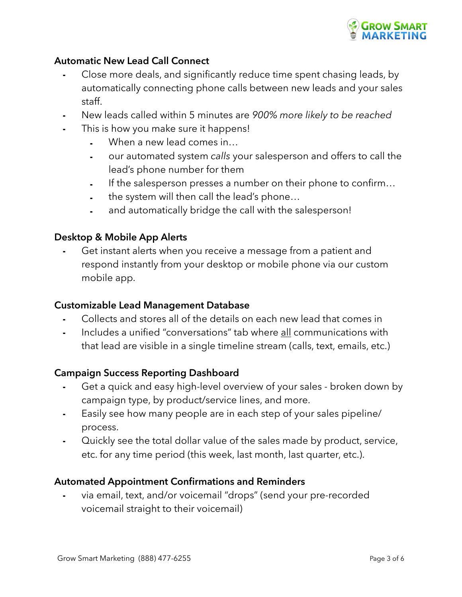

## **Automatic New Lead Call Connect**

- Close more deals, and significantly reduce time spent chasing leads, by automatically connecting phone calls between new leads and your sales staff.
- ⁃ New leads called within 5 minutes are *900% more likely to be reached*
- This is how you make sure it happens!
	- When a new lead comes in...
	- ⁃ our automated system *calls* your salesperson and offers to call the lead's phone number for them
	- If the salesperson presses a number on their phone to confirm...
	- the system will then call the lead's phone...
	- ⁃ and automatically bridge the call with the salesperson!

## **Desktop & Mobile App Alerts**

Get instant alerts when you receive a message from a patient and respond instantly from your desktop or mobile phone via our custom mobile app.

## **Customizable Lead Management Database**

- Collects and stores all of the details on each new lead that comes in
- ⁃ Includes a unified "conversations" tab where all communications with that lead are visible in a single timeline stream (calls, text, emails, etc.)

## **Campaign Success Reporting Dashboard**

- ⁃ Get a quick and easy high-level overview of your sales broken down by campaign type, by product/service lines, and more.
- ⁃ Easily see how many people are in each step of your sales pipeline/ process.
- ⁃ Quickly see the total dollar value of the sales made by product, service, etc. for any time period (this week, last month, last quarter, etc.).

## **Automated Appointment Confirmations and Reminders**

⁃ via email, text, and/or voicemail "drops" (send your pre-recorded voicemail straight to their voicemail)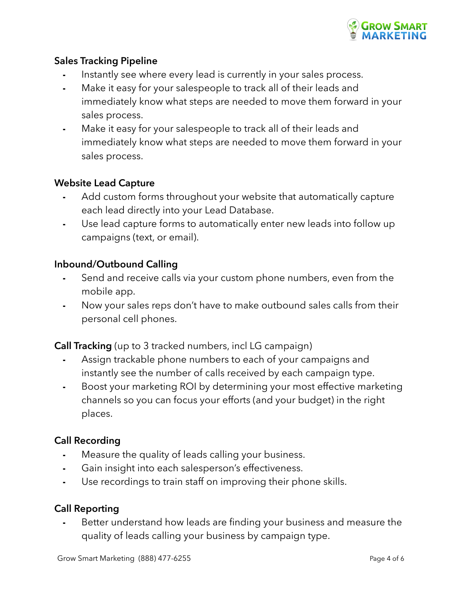

## **Sales Tracking Pipeline**

- Instantly see where every lead is currently in your sales process.
- Make it easy for your salespeople to track all of their leads and immediately know what steps are needed to move them forward in your sales process.
- Make it easy for your salespeople to track all of their leads and immediately know what steps are needed to move them forward in your sales process.

## **Website Lead Capture**

- ⁃ Add custom forms throughout your website that automatically capture each lead directly into your Lead Database.
- Use lead capture forms to automatically enter new leads into follow up campaigns (text, or email).

## **Inbound/Outbound Calling**

- Send and receive calls via your custom phone numbers, even from the mobile app.
- ⁃ Now your sales reps don't have to make outbound sales calls from their personal cell phones.

**Call Tracking** (up to 3 tracked numbers, incl LG campaign)

- Assign trackable phone numbers to each of your campaigns and instantly see the number of calls received by each campaign type.
- ⁃ Boost your marketing ROI by determining your most effective marketing channels so you can focus your efforts (and your budget) in the right places.

## **Call Recording**

- Measure the quality of leads calling your business.
- ⁃ Gain insight into each salesperson's effectiveness.
- ⁃ Use recordings to train staff on improving their phone skills.

## **Call Reporting**

⁃ Better understand how leads are finding your business and measure the quality of leads calling your business by campaign type.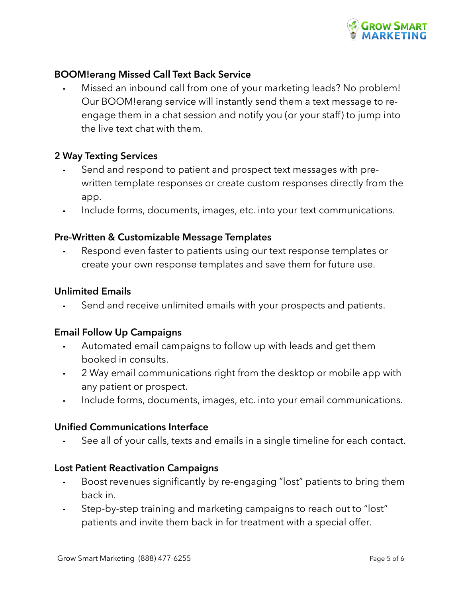

## **BOOM!erang Missed Call Text Back Service**

Missed an inbound call from one of your marketing leads? No problem! Our BOOM!erang service will instantly send them a text message to reengage them in a chat session and notify you (or your staff) to jump into the live text chat with them.

## **2 Way Texting Services**

- Send and respond to patient and prospect text messages with prewritten template responses or create custom responses directly from the app.
- ⁃ Include forms, documents, images, etc. into your text communications.

#### **Pre-Written & Customizable Message Templates**

⁃ Respond even faster to patients using our text response templates or create your own response templates and save them for future use.

#### **Unlimited Emails**

Send and receive unlimited emails with your prospects and patients.

#### **Email Follow Up Campaigns**

- ⁃ Automated email campaigns to follow up with leads and get them booked in consults.
- ⁃ 2 Way email communications right from the desktop or mobile app with any patient or prospect.
- ⁃ Include forms, documents, images, etc. into your email communications.

#### **Unified Communications Interface**

See all of your calls, texts and emails in a single timeline for each contact.

## **Lost Patient Reactivation Campaigns**

- ⁃ Boost revenues significantly by re-engaging "lost" patients to bring them back in.
- ⁃ Step-by-step training and marketing campaigns to reach out to "lost" patients and invite them back in for treatment with a special offer.